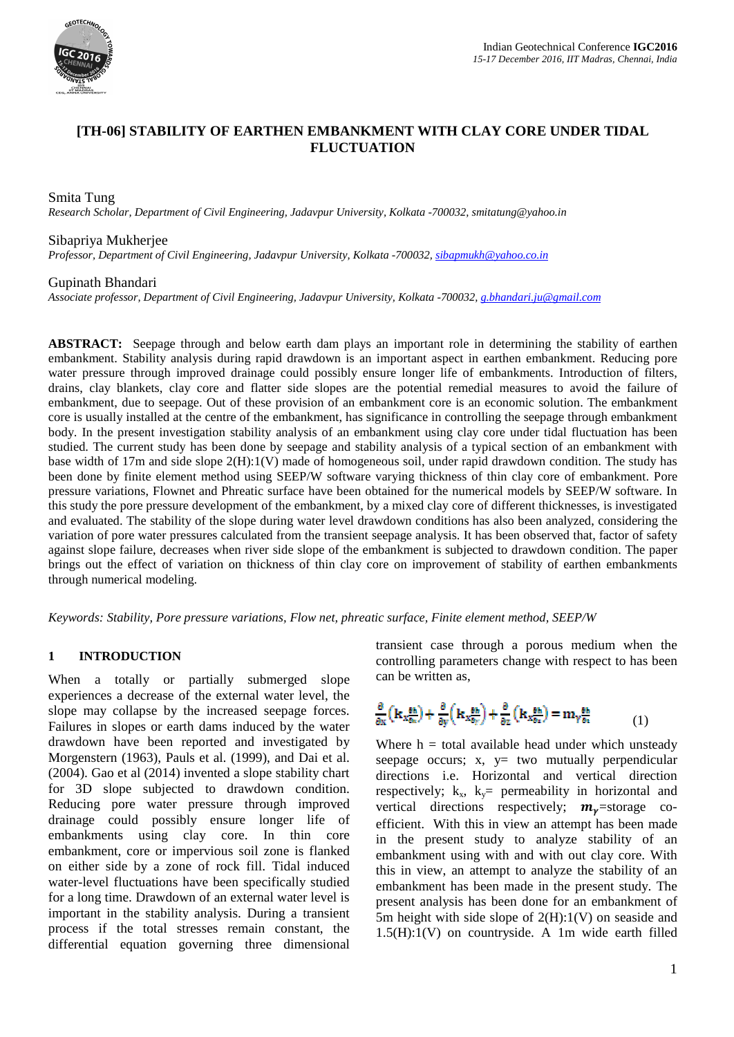

# **[TH-06] STABILITY OF EARTHEN EMBANKMENT WITH CLAY CORE UNDER TIDAL FLUCTUATION**

### Smita Tung

*Research Scholar, Department of Civil Engineering, Jadavpur University, Kolkata -700032, smitatung@yahoo.in* 

#### Sibapriya Mukherjee

*Professor, Department of Civil Engineering, Jadavpur University, Kolkata -700032, sibapmukh@yahoo.co.in*

#### Gupinath Bhandari

*Associate professor, Department of Civil Engineering, Jadavpur University, Kolkata -700032, g.bhandari.ju@gmail.com*

**ABSTRACT:** Seepage through and below earth dam plays an important role in determining the stability of earthen embankment. Stability analysis during rapid drawdown is an important aspect in earthen embankment. Reducing pore water pressure through improved drainage could possibly ensure longer life of embankments. Introduction of filters, drains, clay blankets, clay core and flatter side slopes are the potential remedial measures to avoid the failure of embankment, due to seepage. Out of these provision of an embankment core is an economic solution. The embankment core is usually installed at the centre of the embankment, has significance in controlling the seepage through embankment body. In the present investigation stability analysis of an embankment using clay core under tidal fluctuation has been studied. The current study has been done by seepage and stability analysis of a typical section of an embankment with base width of 17m and side slope 2(H):1(V) made of homogeneous soil, under rapid drawdown condition. The study has been done by finite element method using SEEP/W software varying thickness of thin clay core of embankment. Pore pressure variations, Flownet and Phreatic surface have been obtained for the numerical models by SEEP/W software. In this study the pore pressure development of the embankment, by a mixed clay core of different thicknesses, is investigated and evaluated. The stability of the slope during water level drawdown conditions has also been analyzed, considering the variation of pore water pressures calculated from the transient seepage analysis. It has been observed that, factor of safety against slope failure, decreases when river side slope of the embankment is subjected to drawdown condition. The paper brings out the effect of variation on thickness of thin clay core on improvement of stability of earthen embankments through numerical modeling.

*Keywords: Stability, Pore pressure variations, Flow net, phreatic surface, Finite element method, SEEP/W* 

#### **1 INTRODUCTION**

When a totally or partially submerged slope experiences a decrease of the external water level, the slope may collapse by the increased seepage forces. Failures in slopes or earth dams induced by the water drawdown have been reported and investigated by Morgenstern (1963), Pauls et al. (1999), and Dai et al. (2004). Gao et al (2014) invented a slope stability chart for 3D slope subjected to drawdown condition. Reducing pore water pressure through improved drainage could possibly ensure longer life of embankments using clay core. In thin core embankment, core or impervious soil zone is flanked on either side by a zone of rock fill. Tidal induced water-level fluctuations have been specifically studied for a long time. Drawdown of an external water level is important in the stability analysis. During a transient process if the total stresses remain constant, the differential equation governing three dimensional

transient case through a porous medium when the controlling parameters change with respect to has been can be written as,

$$
\frac{\partial}{\partial x}\big(k_{x\overline{\theta}x}^{\phantom{y}ah}\big) + \frac{\partial}{\partial y}\big(k_{x\overline{\theta}y}^{\phantom{y}ah}\big) + \frac{\partial}{\partial z}\big(k_{x\overline{\theta}x}^{\phantom{y}ah}\big) = m_{\gamma\frac{\theta h}{\theta t}}\qquad \qquad (1)
$$

Where  $h =$  total available head under which unsteady seepage occurs;  $x, y= two mutually perpendicular$ directions i.e. Horizontal and vertical direction respectively;  $k_x$ ,  $k_y$  permeability in horizontal and vertical directions respectively;  $m_{\gamma}$ =storage coefficient. With this in view an attempt has been made in the present study to analyze stability of an embankment using with and with out clay core. With this in view, an attempt to analyze the stability of an embankment has been made in the present study. The present analysis has been done for an embankment of 5m height with side slope of 2(H):1(V) on seaside and 1.5(H):1(V) on countryside. A 1m wide earth filled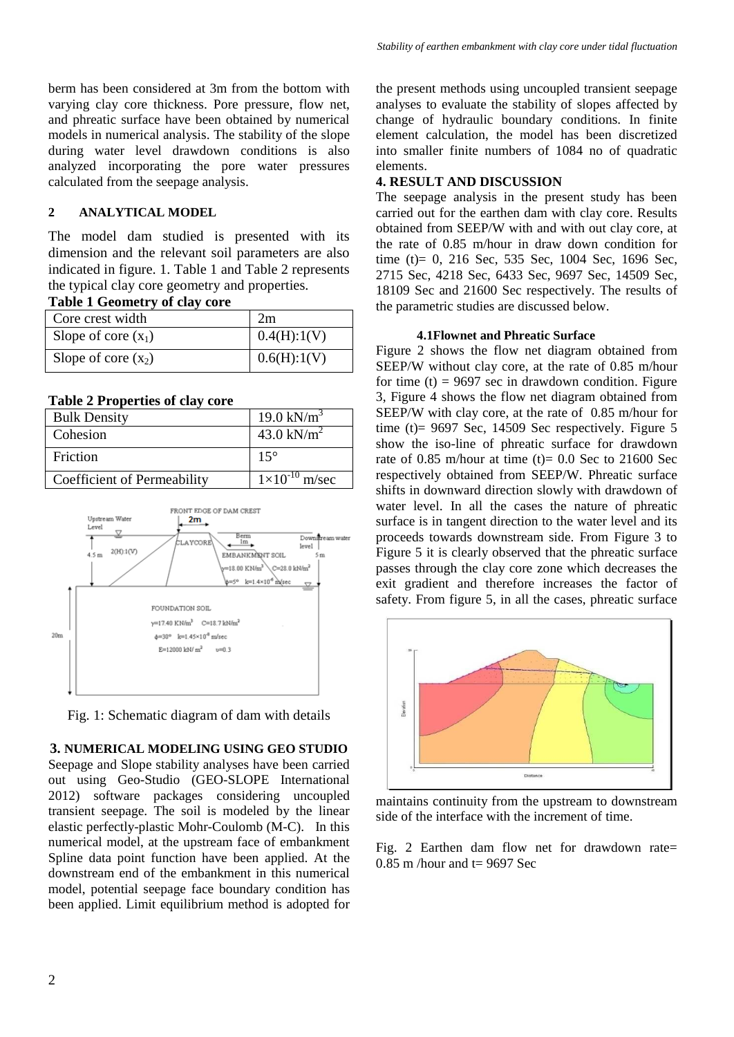berm has been considered at 3m from the bottom with varying clay core thickness. Pore pressure, flow net, and phreatic surface have been obtained by numerical models in numerical analysis. The stability of the slope during water level drawdown conditions is also analyzed incorporating the pore water pressures calculated from the seepage analysis.

## **2 ANALYTICAL MODEL**

The model dam studied is presented with its dimension and the relevant soil parameters are also indicated in figure. 1. Table 1 and Table 2 represents the typical clay core geometry and properties.

| Core crest width      | 2m          |
|-----------------------|-------------|
| Slope of core $(x_1)$ | 0.4(H):1(V) |
| Slope of core $(x_2)$ | 0.6(H):1(V) |

**Table 2 Properties of clay core** 

| <b>Bulk Density</b>         | $19.0 \text{ kN/m}^3$          |
|-----------------------------|--------------------------------|
| Cohesion                    | 43.0 kN/m <sup>2</sup>         |
| Friction                    | $15^{\circ}$                   |
| Coefficient of Permeability | $\sqrt{1\times10^{-10}}$ m/sec |



Fig. 1: Schematic diagram of dam with details

**3. NUMERICAL MODELING USING GEO STUDIO** 

Seepage and Slope stability analyses have been carried out using Geo-Studio (GEO-SLOPE International 2012) software packages considering uncoupled transient seepage. The soil is modeled by the linear elastic perfectly-plastic Mohr-Coulomb (M-C). In this numerical model, at the upstream face of embankment Spline data point function have been applied. At the downstream end of the embankment in this numerical model, potential seepage face boundary condition has been applied. Limit equilibrium method is adopted for

the present methods using uncoupled transient seepage analyses to evaluate the stability of slopes affected by change of hydraulic boundary conditions. In finite element calculation, the model has been discretized into smaller finite numbers of 1084 no of quadratic elements.

# **4. RESULT AND DISCUSSION**

The seepage analysis in the present study has been carried out for the earthen dam with clay core. Results obtained from SEEP/W with and with out clay core, at the rate of 0.85 m/hour in draw down condition for time (t)= 0, 216 Sec, 535 Sec, 1004 Sec, 1696 Sec, 2715 Sec, 4218 Sec, 6433 Sec, 9697 Sec, 14509 Sec, 18109 Sec and 21600 Sec respectively. The results of the parametric studies are discussed below.

### **4.1Flownet and Phreatic Surface**

Figure 2 shows the flow net diagram obtained from SEEP/W without clay core, at the rate of 0.85 m/hour for time  $(t) = 9697$  sec in drawdown condition. Figure 3, Figure 4 shows the flow net diagram obtained from SEEP/W with clay core, at the rate of 0.85 m/hour for time (t)=  $9697$  Sec, 14509 Sec respectively. Figure 5 show the iso-line of phreatic surface for drawdown rate of 0.85 m/hour at time  $(t) = 0.0$  Sec to 21600 Sec respectively obtained from SEEP/W. Phreatic surface shifts in downward direction slowly with drawdown of water level. In all the cases the nature of phreatic surface is in tangent direction to the water level and its proceeds towards downstream side. From Figure 3 to Figure 5 it is clearly observed that the phreatic surface passes through the clay core zone which decreases the exit gradient and therefore increases the factor of safety. From figure 5, in all the cases, phreatic surface



maintains continuity from the upstream to downstream side of the interface with the increment of time.

Fig. 2 Earthen dam flow net for drawdown rate=  $0.85$  m /hour and t= 9697 Sec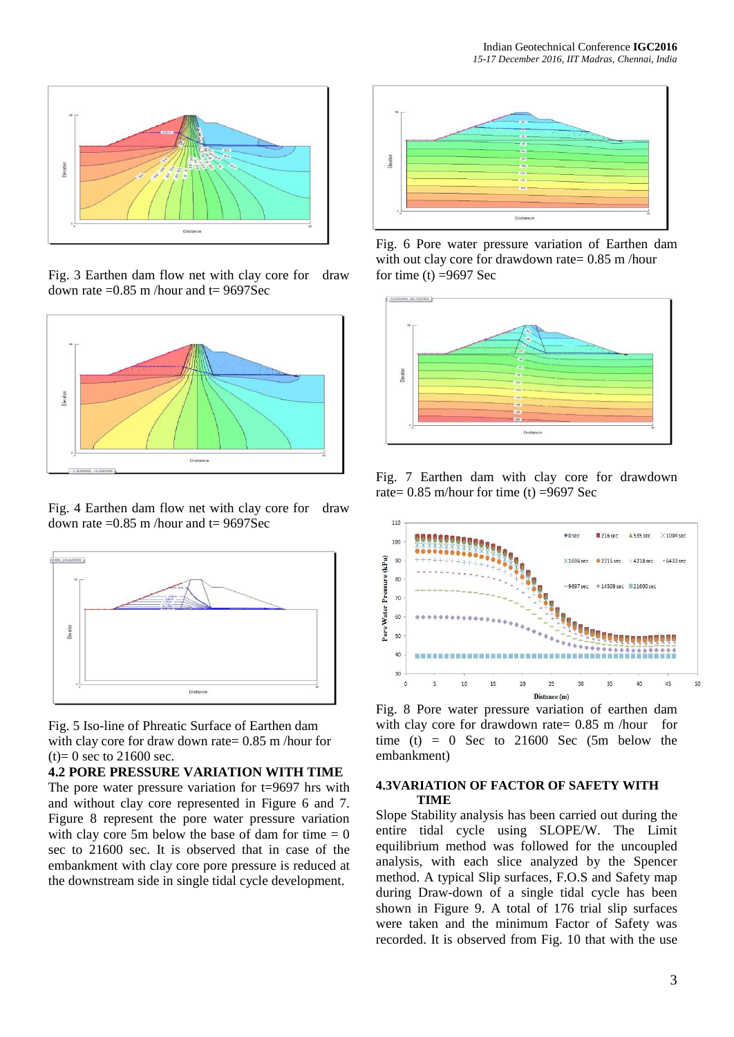

Fig. 3 Earthen dam flow net with clay core for draw down rate  $=0.85$  m /hour and t= 9697Sec



Fig. 4 Earthen dam flow net with clay core for draw down rate  $=0.85$  m /hour and t= 9697Sec



Fig. 5 Iso-line of Phreatic Surface of Earthen dam with clay core for draw down rate= 0.85 m /hour for  $(t)= 0$  sec to 21600 sec.

### **4.2 PORE PRESSURE VARIATION WITH TIME**

The pore water pressure variation for t=9697 hrs with and without clay core represented in Figure 6 and 7. Figure 8 represent the pore water pressure variation with clay core 5m below the base of dam for time  $= 0$ sec to 21600 sec. It is observed that in case of the embankment with clay core pore pressure is reduced at the downstream side in single tidal cycle development.



Fig. 6 Pore water pressure variation of Earthen dam with out clay core for drawdown rate= 0.85 m/hour for time (t)  $=9697$  Sec



Fig. 7 Earthen dam with clay core for drawdown rate=  $0.85$  m/hour for time (t) =9697 Sec



Fig. 8 Pore water pressure variation of earthen dam with clay core for drawdown rate=  $0.85$  m /hour for time  $(t) = 0$  Sec to 21600 Sec  $(5m$  below the embankment)

### **4.3VARIATION OF FACTOR OF SAFETY WITH TIME**

Slope Stability analysis has been carried out during the entire tidal cycle using SLOPE/W. The Limit equilibrium method was followed for the uncoupled analysis, with each slice analyzed by the Spencer method. A typical Slip surfaces, F.O.S and Safety map during Draw-down of a single tidal cycle has been shown in Figure 9. A total of 176 trial slip surfaces were taken and the minimum Factor of Safety was recorded. It is observed from Fig. 10 that with the use